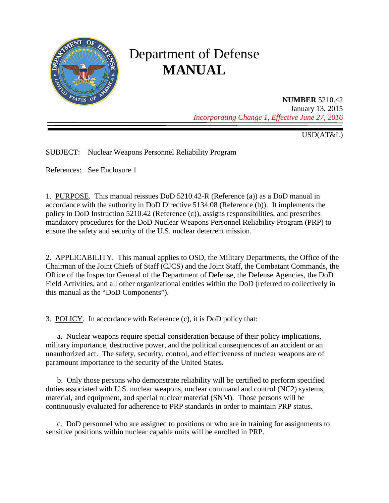

# Department of Defense **MANUAL**

**NUMBER** 5210.42 January 13, 2015 *Incorporating Change 1, Effective June 27, 2016*

USD(AT&L)

SUBJECT: Nuclear Weapons Personnel Reliability Program

References: See Enclosure 1

1. PURPOSE. This manual reissues DoD 5210.42-R (Reference (a)) as a DoD manual in accordance with the authority in DoD Directive 5134.08 (Reference (b)). It implements the policy in DoD Instruction 5210.42 (Reference (c)), assigns responsibilities, and prescribes mandatory procedures for the DoD Nuclear Weapons Personnel Reliability Program (PRP) to ensure the safety and security of the U.S. nuclear deterrent mission.

2. APPLICABILITY. This manual applies to OSD, the Military Departments, the Office of the Chairman of the Joint Chiefs of Staff (CJCS) and the Joint Staff, the Combatant Commands, the Office of the Inspector General of the Department of Defense, the Defense Agencies, the DoD Field Activities, and all other organizational entities within the DoD (referred to collectively in this manual as the "DoD Components").

3. POLICY. In accordance with Reference (c), it is DoD policy that:

a. Nuclear weapons require special consideration because of their policy implications, military importance, destructive power, and the political consequences of an accident or an unauthorized act. The safety, security, control, and effectiveness of nuclear weapons are of paramount importance to the security of the United States.

b. Only those persons who demonstrate reliability will be certified to perform specified duties associated with U.S. nuclear weapons, nuclear command and control (NC2) systems, material, and equipment, and special nuclear material (SNM). Those persons will be continuously evaluated for adherence to PRP standards in order to maintain PRP status.

c. DoD personnel who are assigned to positions or who are in training for assignments to sensitive positions within nuclear capable units will be enrolled in PRP.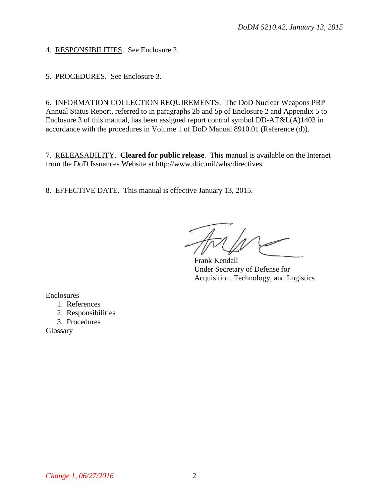4. RESPONSIBILITIES. See Enclosure 2.

5. PROCEDURES. See Enclosure 3.

6. INFORMATION COLLECTION REQUIREMENTS. The DoD Nuclear Weapons PRP Annual Status Report, referred to in paragraphs 2b and 5p of Enclosure 2 and Appendix 5 to Enclosure 3 of this manual, has been assigned report control symbol DD-AT&L(A)1403 in accordance with the procedures in Volume 1 of DoD Manual 8910.01 (Reference (d)).

7. RELEASABILITY. **Cleared for public release**. This manual is available on the Internet from the DoD Issuances Website at http://www.dtic.mil/whs/directives.

8. EFFECTIVE DATE. This manual is effective January 13, 2015.

Frank Kendall Under Secretary of Defense for Acquisition, Technology, and Logistics

Enclosures

1. References

2. Responsibilities

3. Procedures

Glossary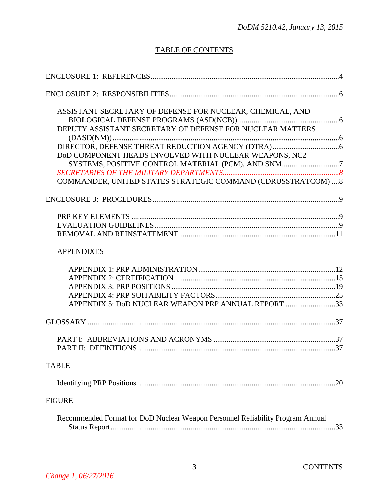# TABLE OF CONTENTS

| ASSISTANT SECRETARY OF DEFENSE FOR NUCLEAR, CHEMICAL, AND                      |  |
|--------------------------------------------------------------------------------|--|
|                                                                                |  |
| DEPUTY ASSISTANT SECRETARY OF DEFENSE FOR NUCLEAR MATTERS                      |  |
|                                                                                |  |
|                                                                                |  |
| DoD COMPONENT HEADS INVOLVED WITH NUCLEAR WEAPONS, NC2                         |  |
| SYSTEMS, POSITIVE CONTROL MATERIAL (PCM), AND SNM7                             |  |
|                                                                                |  |
| COMMANDER, UNITED STATES STRATEGIC COMMAND (CDRUSSTRATCOM)  8                  |  |
|                                                                                |  |
|                                                                                |  |
|                                                                                |  |
|                                                                                |  |
| <b>APPENDIXES</b>                                                              |  |
|                                                                                |  |
|                                                                                |  |
|                                                                                |  |
|                                                                                |  |
| APPENDIX 5: DoD NUCLEAR WEAPON PRP ANNUAL REPORT 33                            |  |
|                                                                                |  |
|                                                                                |  |
|                                                                                |  |
| <b>TABLE</b>                                                                   |  |
|                                                                                |  |
|                                                                                |  |
| <b>FIGURE</b>                                                                  |  |
| Recommended Format for DoD Nuclear Weapon Personnel Reliability Program Annual |  |
|                                                                                |  |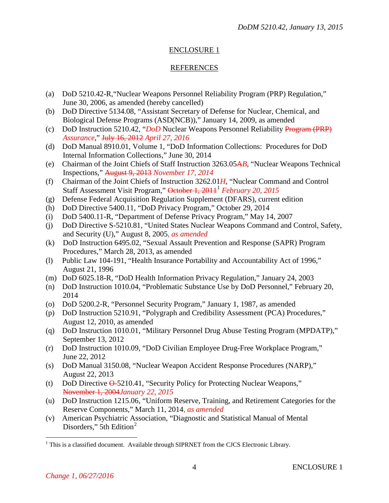# ENCLOSURE 1

### REFERENCES

- (a) DoD 5210.42-R,"Nuclear Weapons Personnel Reliability Program (PRP) Regulation," June 30, 2006, as amended (hereby cancelled)
- (b) DoD Directive 5134.08, "Assistant Secretary of Defense for Nuclear, Chemical, and Biological Defense Programs (ASD(NCB))," January 14, 2009, as amended
- (c) DoD Instruction 5210.42, "*DoD* Nuclear Weapons Personnel Reliability Program (PRP) *Assurance*," July 16, 2012 *April 27, 2016*
- (d) DoD Manual 8910.01, Volume 1, "DoD Information Collections: Procedures for DoD Internal Information Collections," June 30, 2014
- (e) Chairman of the Joint Chiefs of Staff Instruction 3263.05A*B*, "Nuclear Weapons Technical Inspections," August 9, 2013 *November 17, 2014*
- (f) Chairman of the Joint Chiefs of Instruction 3262.01*H*, "Nuclear Command and Control Staff Assessment Visit Program," October 1, 2011[1](#page-3-0) *February 20, 2015*
- (g) Defense Federal Acquisition Regulation Supplement (DFARS), current edition
- (h) DoD Directive 5400.11, "DoD Privacy Program," October 29, 2014
- (i) DoD 5400.11-R, "Department of Defense Privacy Program," May 14, 2007
- (j) DoD Directive S-5210.81, "United States Nuclear Weapons Command and Control, Safety, and Security (U)," August 8, 2005*, as amended*
- (k) DoD Instruction 6495.02, "Sexual Assault Prevention and Response (SAPR) Program Procedures," March 28, 2013, as amended
- (l) Public Law 104-191, "Health Insurance Portability and Accountability Act of 1996," August 21, 1996
- (m) DoD 6025.18-R, "DoD Health Information Privacy Regulation," January 24, 2003
- (n) DoD Instruction 1010.04, "Problematic Substance Use by DoD Personnel," February 20, 2014
- (o) DoD 5200.2-R, "Personnel Security Program," January 1, 1987, as amended
- (p) DoD Instruction 5210.91, "Polygraph and Credibility Assessment (PCA) Procedures," August 12, 2010, as amended
- (q) DoD Instruction 1010.01, "Military Personnel Drug Abuse Testing Program (MPDATP)," September 13, 2012
- (r) DoD Instruction 1010.09, "DoD Civilian Employee Drug-Free Workplace Program," June 22, 2012
- (s) DoD Manual 3150.08, "Nuclear Weapon Accident Response Procedures (NARP)," August 22, 2013
- (t) DoD Directive O-5210.41, "Security Policy for Protecting Nuclear Weapons," November 1, 2004*January 22, 2015*
- (u) DoD Instruction 1215.06, "Uniform Reserve, Training, and Retirement Categories for the Reserve Components," March 11, 2014*, as amended*
- (v) American Psychiatric Association, "Diagnostic and Statistical Manual of Mental Disorders," 5th Edition<sup>[2](#page-3-0)</sup>

<span id="page-3-0"></span><sup>&</sup>lt;sup>1</sup> This is a classified document. Available through SIPRNET from the CJCS Electronic Library.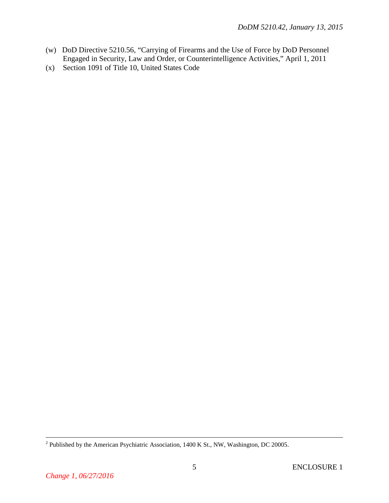- (w) DoD Directive 5210.56, "Carrying of Firearms and the Use of Force by DoD Personnel Engaged in Security, Law and Order, or Counterintelligence Activities," April 1, 2011
- (x) Section 1091 of Title 10, United States Code

<sup>&</sup>lt;sup>2</sup> Published by the American Psychiatric Association, 1400 K St., NW, Washington, DC 20005.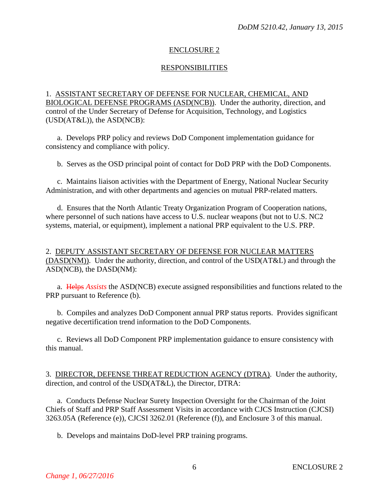## ENCLOSURE 2

# RESPONSIBILITIES

1. ASSISTANT SECRETARY OF DEFENSE FOR NUCLEAR, CHEMICAL, AND BIOLOGICAL DEFENSE PROGRAMS (ASD(NCB)). Under the authority, direction, and control of the Under Secretary of Defense for Acquisition, Technology, and Logistics (USD(AT&L)), the ASD(NCB):

a. Develops PRP policy and reviews DoD Component implementation guidance for consistency and compliance with policy.

b. Serves as the OSD principal point of contact for DoD PRP with the DoD Components.

c. Maintains liaison activities with the Department of Energy, National Nuclear Security Administration, and with other departments and agencies on mutual PRP-related matters.

d. Ensures that the North Atlantic Treaty Organization Program of Cooperation nations, where personnel of such nations have access to U.S. nuclear weapons (but not to U.S. NC2 systems, material, or equipment), implement a national PRP equivalent to the U.S. PRP.

2. DEPUTY ASSISTANT SECRETARY OF DEFENSE FOR NUCLEAR MATTERS (DASD(NM)). Under the authority, direction, and control of the USD(AT&L) and through the ASD(NCB), the DASD(NM):

a. Helps *Assists* the ASD(NCB) execute assigned responsibilities and functions related to the PRP pursuant to Reference (b).

b. Compiles and analyzes DoD Component annual PRP status reports. Provides significant negative decertification trend information to the DoD Components.

c. Reviews all DoD Component PRP implementation guidance to ensure consistency with this manual.

3. DIRECTOR, DEFENSE THREAT REDUCTION AGENCY (DTRA). Under the authority, direction, and control of the USD(AT&L), the Director, DTRA:

a. Conducts Defense Nuclear Surety Inspection Oversight for the Chairman of the Joint Chiefs of Staff and PRP Staff Assessment Visits in accordance with CJCS Instruction (CJCSI) 3263.05A (Reference (e)), CJCSI 3262.01 (Reference (f)), and Enclosure 3 of this manual.

b. Develops and maintains DoD-level PRP training programs.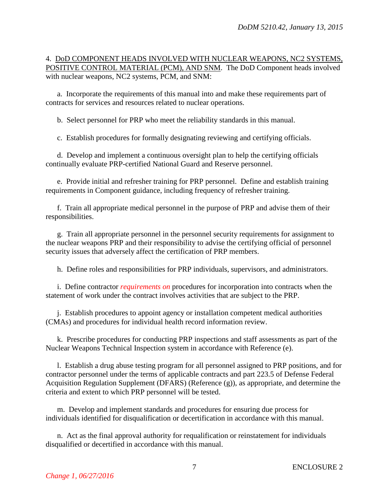## 4. DoD COMPONENT HEADS INVOLVED WITH NUCLEAR WEAPONS, NC2 SYSTEMS, POSITIVE CONTROL MATERIAL (PCM), AND SNM. The DoD Component heads involved with nuclear weapons, NC2 systems, PCM, and SNM:

a. Incorporate the requirements of this manual into and make these requirements part of contracts for services and resources related to nuclear operations.

b. Select personnel for PRP who meet the reliability standards in this manual.

c. Establish procedures for formally designating reviewing and certifying officials.

d. Develop and implement a continuous oversight plan to help the certifying officials continually evaluate PRP-certified National Guard and Reserve personnel.

e. Provide initial and refresher training for PRP personnel. Define and establish training requirements in Component guidance, including frequency of refresher training.

f. Train all appropriate medical personnel in the purpose of PRP and advise them of their responsibilities.

g. Train all appropriate personnel in the personnel security requirements for assignment to the nuclear weapons PRP and their responsibility to advise the certifying official of personnel security issues that adversely affect the certification of PRP members.

h. Define roles and responsibilities for PRP individuals, supervisors, and administrators.

i. Define contractor *requirements on* procedures for incorporation into contracts when the statement of work under the contract involves activities that are subject to the PRP.

j. Establish procedures to appoint agency or installation competent medical authorities (CMAs) and procedures for individual health record information review.

k. Prescribe procedures for conducting PRP inspections and staff assessments as part of the Nuclear Weapons Technical Inspection system in accordance with Reference (e).

l. Establish a drug abuse testing program for all personnel assigned to PRP positions, and for contractor personnel under the terms of applicable contracts and part 223.5 of Defense Federal Acquisition Regulation Supplement (DFARS) (Reference (g)), as appropriate, and determine the criteria and extent to which PRP personnel will be tested.

m. Develop and implement standards and procedures for ensuring due process for individuals identified for disqualification or decertification in accordance with this manual.

n. Act as the final approval authority for requalification or reinstatement for individuals disqualified or decertified in accordance with this manual.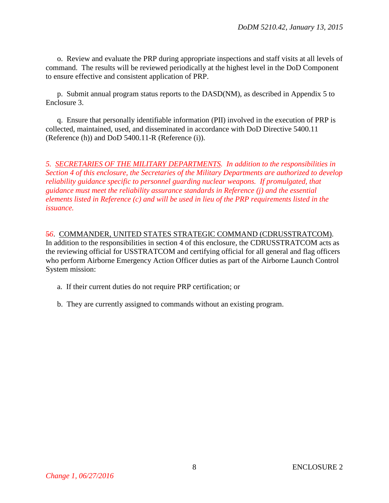o. Review and evaluate the PRP during appropriate inspections and staff visits at all levels of command. The results will be reviewed periodically at the highest level in the DoD Component to ensure effective and consistent application of PRP.

p. Submit annual program status reports to the DASD(NM), as described in Appendix 5 to Enclosure 3.

q. Ensure that personally identifiable information (PII) involved in the execution of PRP is collected, maintained, used, and disseminated in accordance with DoD Directive 5400.11 (Reference (h)) and DoD 5400.11-R (Reference (i)).

*5. SECRETARIES OF THE MILITARY DEPARTMENTS. In addition to the responsibilities in Section 4 of this enclosure, the Secretaries of the Military Departments are authorized to develop reliability guidance specific to personnel guarding nuclear weapons. If promulgated, that guidance must meet the reliability assurance standards in Reference (j) and the essential elements listed in Reference (c) and will be used in lieu of the PRP requirements listed in the issuance.*

#### 5*6*. COMMANDER, UNITED STATES STRATEGIC COMMAND (CDRUSSTRATCOM).

In addition to the responsibilities in section 4 of this enclosure, the CDRUSSTRATCOM acts as the reviewing official for USSTRATCOM and certifying official for all general and flag officers who perform Airborne Emergency Action Officer duties as part of the Airborne Launch Control System mission:

- a. If their current duties do not require PRP certification; or
- b. They are currently assigned to commands without an existing program.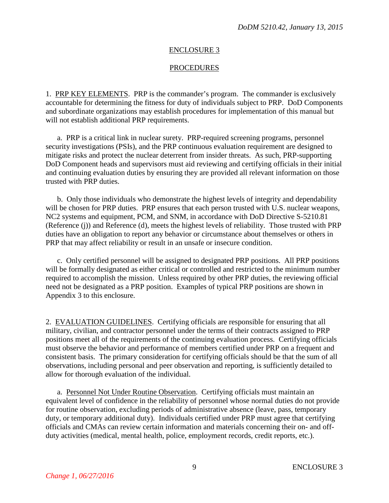#### ENCLOSURE 3

#### PROCEDURES

1. PRP KEY ELEMENTS. PRP is the commander's program. The commander is exclusively accountable for determining the fitness for duty of individuals subject to PRP. DoD Components and subordinate organizations may establish procedures for implementation of this manual but will not establish additional PRP requirements.

a. PRP is a critical link in nuclear surety. PRP-required screening programs, personnel security investigations (PSIs), and the PRP continuous evaluation requirement are designed to mitigate risks and protect the nuclear deterrent from insider threats. As such, PRP-supporting DoD Component heads and supervisors must aid reviewing and certifying officials in their initial and continuing evaluation duties by ensuring they are provided all relevant information on those trusted with PRP duties.

b. Only those individuals who demonstrate the highest levels of integrity and dependability will be chosen for PRP duties. PRP ensures that each person trusted with U.S. nuclear weapons, NC2 systems and equipment, PCM, and SNM, in accordance with DoD Directive S-5210.81 (Reference (j)) and Reference (d), meets the highest levels of reliability. Those trusted with PRP duties have an obligation to report any behavior or circumstance about themselves or others in PRP that may affect reliability or result in an unsafe or insecure condition.

c. Only certified personnel will be assigned to designated PRP positions. All PRP positions will be formally designated as either critical or controlled and restricted to the minimum number required to accomplish the mission. Unless required by other PRP duties, the reviewing official need not be designated as a PRP position. Examples of typical PRP positions are shown in Appendix 3 to this enclosure.

2. EVALUATION GUIDELINES. Certifying officials are responsible for ensuring that all military, civilian, and contractor personnel under the terms of their contracts assigned to PRP positions meet all of the requirements of the continuing evaluation process. Certifying officials must observe the behavior and performance of members certified under PRP on a frequent and consistent basis. The primary consideration for certifying officials should be that the sum of all observations, including personal and peer observation and reporting, is sufficiently detailed to allow for thorough evaluation of the individual.

a. Personnel Not Under Routine Observation. Certifying officials must maintain an equivalent level of confidence in the reliability of personnel whose normal duties do not provide for routine observation, excluding periods of administrative absence (leave, pass, temporary duty, or temporary additional duty). Individuals certified under PRP must agree that certifying officials and CMAs can review certain information and materials concerning their on- and offduty activities (medical, mental health, police, employment records, credit reports, etc.).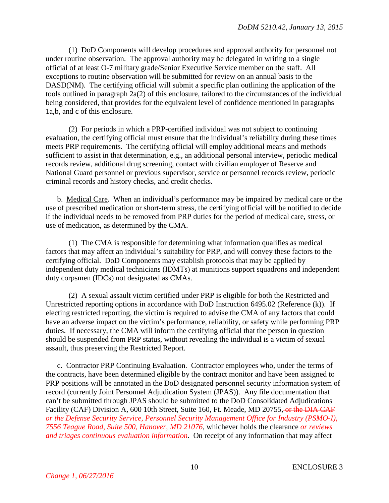(1) DoD Components will develop procedures and approval authority for personnel not under routine observation. The approval authority may be delegated in writing to a single official of at least O-7 military grade/Senior Executive Service member on the staff. All exceptions to routine observation will be submitted for review on an annual basis to the DASD(NM). The certifying official will submit a specific plan outlining the application of the tools outlined in paragraph 2a(2) of this enclosure, tailored to the circumstances of the individual being considered, that provides for the equivalent level of confidence mentioned in paragraphs 1a,b, and c of this enclosure.

(2) For periods in which a PRP-certified individual was not subject to continuing evaluation, the certifying official must ensure that the individual's reliability during these times meets PRP requirements. The certifying official will employ additional means and methods sufficient to assist in that determination, e.g., an additional personal interview, periodic medical records review, additional drug screening, contact with civilian employer of Reserve and National Guard personnel or previous supervisor, service or personnel records review, periodic criminal records and history checks, and credit checks.

b. Medical Care. When an individual's performance may be impaired by medical care or the use of prescribed medication or short-term stress, the certifying official will be notified to decide if the individual needs to be removed from PRP duties for the period of medical care, stress, or use of medication, as determined by the CMA.

(1) The CMA is responsible for determining what information qualifies as medical factors that may affect an individual's suitability for PRP, and will convey these factors to the certifying official. DoD Components may establish protocols that may be applied by independent duty medical technicians (IDMTs) at munitions support squadrons and independent duty corpsmen (IDCs) not designated as CMAs.

(2) A sexual assault victim certified under PRP is eligible for both the Restricted and Unrestricted reporting options in accordance with DoD Instruction 6495.02 (Reference (k)). If electing restricted reporting, the victim is required to advise the CMA of any factors that could have an adverse impact on the victim's performance, reliability, or safety while performing PRP duties. If necessary, the CMA will inform the certifying official that the person in question should be suspended from PRP status, without revealing the individual is a victim of sexual assault, thus preserving the Restricted Report.

c. Contractor PRP Continuing Evaluation. Contractor employees who, under the terms of the contracts, have been determined eligible by the contract monitor and have been assigned to PRP positions will be annotated in the DoD designated personnel security information system of record (currently Joint Personnel Adjudication System (JPAS)). Any file documentation that can't be submitted through JPAS should be submitted to the DoD Consolidated Adjudications Facility (CAF) Division A, 600 10th Street, Suite 160, Ft. Meade, MD 20755, or the DIA CAF *or the Defense Security Service, Personnel Security Management Office for Industry (PSMO-I), 7556 Teague Road, Suite 500, Hanover, MD 21076*, whichever holds the clearance *or reviews and triages continuous evaluation information*. On receipt of any information that may affect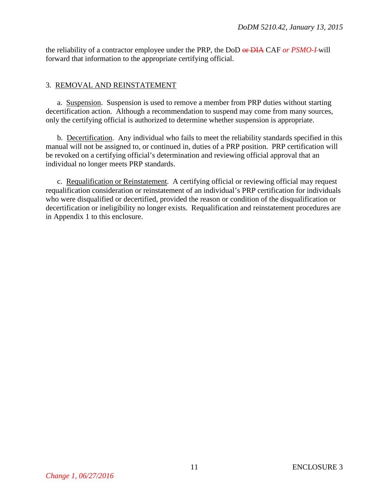the reliability of a contractor employee under the PRP, the DoD or DIA CAF *or PSMO-I* will forward that information to the appropriate certifying official.

# 3. REMOVAL AND REINSTATEMENT

a. Suspension. Suspension is used to remove a member from PRP duties without starting decertification action. Although a recommendation to suspend may come from many sources, only the certifying official is authorized to determine whether suspension is appropriate.

b. Decertification. Any individual who fails to meet the reliability standards specified in this manual will not be assigned to, or continued in, duties of a PRP position. PRP certification will be revoked on a certifying official's determination and reviewing official approval that an individual no longer meets PRP standards.

c. Requalification or Reinstatement. A certifying official or reviewing official may request requalification consideration or reinstatement of an individual's PRP certification for individuals who were disqualified or decertified, provided the reason or condition of the disqualification or decertification or ineligibility no longer exists. Requalification and reinstatement procedures are in Appendix 1 to this enclosure.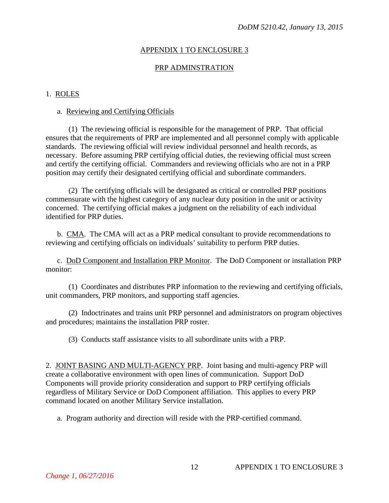### APPENDIX 1 TO ENCLOSURE 3

#### PRP ADMINSTRATION

#### 1. ROLES

#### a. Reviewing and Certifying Officials

(1) The reviewing official is responsible for the management of PRP. That official ensures that the requirements of PRP are implemented and all personnel comply with applicable standards. The reviewing official will review individual personnel and health records, as necessary. Before assuming PRP certifying official duties, the reviewing official must screen and certify the certifying official. Commanders and reviewing officials who are not in a PRP position may certify their designated certifying official and subordinate commanders.

(2) The certifying officials will be designated as critical or controlled PRP positions commensurate with the highest category of any nuclear duty position in the unit or activity concerned. The certifying official makes a judgment on the reliability of each individual identified for PRP duties.

b. CMA. The CMA will act as a PRP medical consultant to provide recommendations to reviewing and certifying officials on individuals' suitability to perform PRP duties.

c. DoD Component and Installation PRP Monitor. The DoD Component or installation PRP monitor:

(1) Coordinates and distributes PRP information to the reviewing and certifying officials, unit commanders, PRP monitors, and supporting staff agencies.

(2) Indoctrinates and trains unit PRP personnel and administrators on program objectives and procedures; maintains the installation PRP roster.

(3) Conducts staff assistance visits to all subordinate units with a PRP.

2. JOINT BASING AND MULTI-AGENCY PRP. Joint basing and multi-agency PRP will create a collaborative environment with open lines of communication. Support DoD Components will provide priority consideration and support to PRP certifying officials regardless of Military Service or DoD Component affiliation. This applies to every PRP command located on another Military Service installation.

a. Program authority and direction will reside with the PRP-certified command.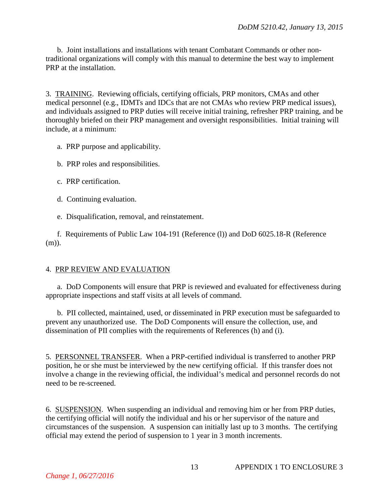b. Joint installations and installations with tenant Combatant Commands or other nontraditional organizations will comply with this manual to determine the best way to implement PRP at the installation.

3. TRAINING. Reviewing officials, certifying officials, PRP monitors, CMAs and other medical personnel (e.g., IDMTs and IDCs that are not CMAs who review PRP medical issues), and individuals assigned to PRP duties will receive initial training, refresher PRP training, and be thoroughly briefed on their PRP management and oversight responsibilities. Initial training will include, at a minimum:

- a. PRP purpose and applicability.
- b. PRP roles and responsibilities.
- c. PRP certification.
- d. Continuing evaluation.
- e. Disqualification, removal, and reinstatement.

f. Requirements of Public Law 104-191 (Reference (l)) and DoD 6025.18-R (Reference (m)).

#### 4. PRP REVIEW AND EVALUATION

a. DoD Components will ensure that PRP is reviewed and evaluated for effectiveness during appropriate inspections and staff visits at all levels of command.

b. PII collected, maintained, used, or disseminated in PRP execution must be safeguarded to prevent any unauthorized use. The DoD Components will ensure the collection, use, and dissemination of PII complies with the requirements of References (h) and (i).

5. PERSONNEL TRANSFER. When a PRP-certified individual is transferred to another PRP position, he or she must be interviewed by the new certifying official. If this transfer does not involve a change in the reviewing official, the individual's medical and personnel records do not need to be re-screened.

6. SUSPENSION. When suspending an individual and removing him or her from PRP duties, the certifying official will notify the individual and his or her supervisor of the nature and circumstances of the suspension. A suspension can initially last up to 3 months. The certifying official may extend the period of suspension to 1 year in 3 month increments.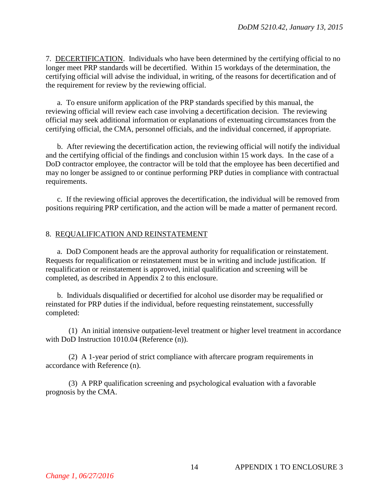7. DECERTIFICATION. Individuals who have been determined by the certifying official to no longer meet PRP standards will be decertified. Within 15 workdays of the determination, the certifying official will advise the individual, in writing, of the reasons for decertification and of the requirement for review by the reviewing official.

a. To ensure uniform application of the PRP standards specified by this manual, the reviewing official will review each case involving a decertification decision. The reviewing official may seek additional information or explanations of extenuating circumstances from the certifying official, the CMA, personnel officials, and the individual concerned, if appropriate.

b. After reviewing the decertification action, the reviewing official will notify the individual and the certifying official of the findings and conclusion within 15 work days. In the case of a DoD contractor employee, the contractor will be told that the employee has been decertified and may no longer be assigned to or continue performing PRP duties in compliance with contractual requirements.

c. If the reviewing official approves the decertification, the individual will be removed from positions requiring PRP certification, and the action will be made a matter of permanent record.

#### 8. REQUALIFICATION AND REINSTATEMENT

a. DoD Component heads are the approval authority for requalification or reinstatement. Requests for requalification or reinstatement must be in writing and include justification. If requalification or reinstatement is approved, initial qualification and screening will be completed, as described in Appendix 2 to this enclosure.

b. Individuals disqualified or decertified for alcohol use disorder may be requalified or reinstated for PRP duties if the individual, before requesting reinstatement, successfully completed:

(1) An initial intensive outpatient-level treatment or higher level treatment in accordance with DoD Instruction 1010.04 (Reference (n)).

(2) A 1-year period of strict compliance with aftercare program requirements in accordance with Reference (n).

(3) A PRP qualification screening and psychological evaluation with a favorable prognosis by the CMA.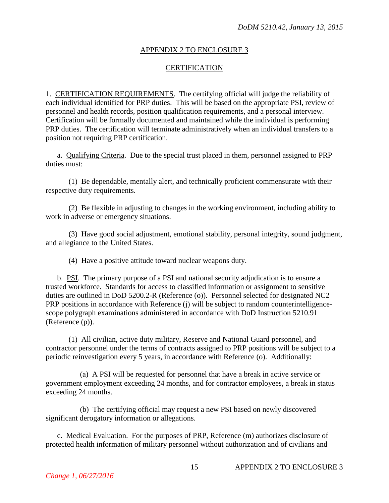### APPENDIX 2 TO ENCLOSURE 3

# **CERTIFICATION**

1. CERTIFICATION REQUIREMENTS. The certifying official will judge the reliability of each individual identified for PRP duties. This will be based on the appropriate PSI, review of personnel and health records, position qualification requirements, and a personal interview. Certification will be formally documented and maintained while the individual is performing PRP duties. The certification will terminate administratively when an individual transfers to a position not requiring PRP certification.

a. Qualifying Criteria. Due to the special trust placed in them, personnel assigned to PRP duties must:

(1) Be dependable, mentally alert, and technically proficient commensurate with their respective duty requirements.

(2) Be flexible in adjusting to changes in the working environment, including ability to work in adverse or emergency situations.

(3) Have good social adjustment, emotional stability, personal integrity, sound judgment, and allegiance to the United States.

(4) Have a positive attitude toward nuclear weapons duty.

b. PSI. The primary purpose of a PSI and national security adjudication is to ensure a trusted workforce. Standards for access to classified information or assignment to sensitive duties are outlined in DoD 5200.2-R (Reference (o)). Personnel selected for designated NC2 PRP positions in accordance with Reference (j) will be subject to random counterintelligencescope polygraph examinations administered in accordance with DoD Instruction 5210.91 (Reference (p)).

(1) All civilian, active duty military, Reserve and National Guard personnel, and contractor personnel under the terms of contracts assigned to PRP positions will be subject to a periodic reinvestigation every 5 years, in accordance with Reference (o). Additionally:

(a) A PSI will be requested for personnel that have a break in active service or government employment exceeding 24 months, and for contractor employees, a break in status exceeding 24 months.

(b) The certifying official may request a new PSI based on newly discovered significant derogatory information or allegations.

c. Medical Evaluation. For the purposes of PRP, Reference (m) authorizes disclosure of protected health information of military personnel without authorization and of civilians and

15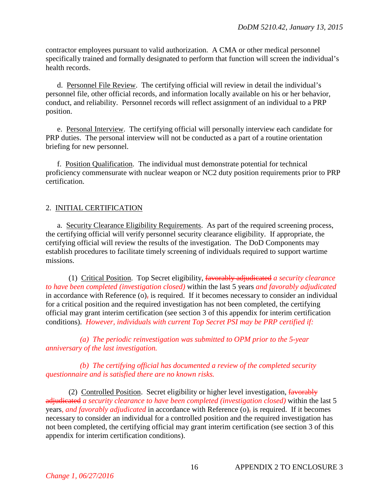contractor employees pursuant to valid authorization. A CMA or other medical personnel specifically trained and formally designated to perform that function will screen the individual's health records.

d. Personnel File Review. The certifying official will review in detail the individual's personnel file, other official records, and information locally available on his or her behavior, conduct, and reliability. Personnel records will reflect assignment of an individual to a PRP position.

e. Personal Interview. The certifying official will personally interview each candidate for PRP duties. The personal interview will not be conducted as a part of a routine orientation briefing for new personnel.

f. Position Qualification. The individual must demonstrate potential for technical proficiency commensurate with nuclear weapon or NC2 duty position requirements prior to PRP certification.

# 2. INITIAL CERTIFICATION

a. Security Clearance Eligibility Requirements.As part of the required screening process, the certifying official will verify personnel security clearance eligibility. If appropriate, the certifying official will review the results of the investigation. The DoD Components may establish procedures to facilitate timely screening of individuals required to support wartime missions.

(1) Critical Position. Top Secret eligibility, favorably adjudicated *a security clearance to have been completed (investigation closed)* within the last 5 years *and favorably adjudicated*  in accordance with Reference  $(o)$ , is required. If it becomes necessary to consider an individual for a critical position and the required investigation has not been completed, the certifying official may grant interim certification (see section 3 of this appendix for interim certification conditions). *However, individuals with current Top Secret PSI may be PRP certified if:*

*(a) The periodic reinvestigation was submitted to OPM prior to the 5-year anniversary of the last investigation.*

*(b) The certifying official has documented a review of the completed security questionnaire and is satisfied there are no known risks.*

(2) Controlled Position. Secret eligibility or higher level investigation, favorably adjudicated *a security clearance to have been completed (investigation closed)* within the last 5 years*, and favorably adjudicated* in accordance with Reference (o), is required. If it becomes necessary to consider an individual for a controlled position and the required investigation has not been completed, the certifying official may grant interim certification (see section 3 of this appendix for interim certification conditions).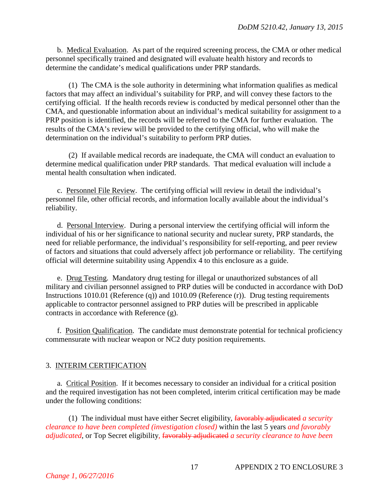b. Medical Evaluation. As part of the required screening process, the CMA or other medical personnel specifically trained and designated will evaluate health history and records to determine the candidate's medical qualifications under PRP standards.

(1) The CMA is the sole authority in determining what information qualifies as medical factors that may affect an individual's suitability for PRP, and will convey these factors to the certifying official. If the health records review is conducted by medical personnel other than the CMA, and questionable information about an individual's medical suitability for assignment to a PRP position is identified, the records will be referred to the CMA for further evaluation. The results of the CMA's review will be provided to the certifying official, who will make the determination on the individual's suitability to perform PRP duties.

(2) If available medical records are inadequate, the CMA will conduct an evaluation to determine medical qualification under PRP standards. That medical evaluation will include a mental health consultation when indicated.

c. Personnel File Review. The certifying official will review in detail the individual's personnel file, other official records, and information locally available about the individual's reliability.

d. Personal Interview. During a personal interview the certifying official will inform the individual of his or her significance to national security and nuclear surety, PRP standards, the need for reliable performance, the individual's responsibility for self-reporting, and peer review of factors and situations that could adversely affect job performance or reliability. The certifying official will determine suitability using Appendix 4 to this enclosure as a guide.

e. Drug Testing. Mandatory drug testing for illegal or unauthorized substances of all military and civilian personnel assigned to PRP duties will be conducted in accordance with DoD Instructions 1010.01 (Reference (q)) and 1010.09 (Reference (r)). Drug testing requirements applicable to contractor personnel assigned to PRP duties will be prescribed in applicable contracts in accordance with Reference (g).

f. Position Qualification. The candidate must demonstrate potential for technical proficiency commensurate with nuclear weapon or NC2 duty position requirements.

#### 3. INTERIM CERTIFICATION

a. Critical Position. If it becomes necessary to consider an individual for a critical position and the required investigation has not been completed, interim critical certification may be made under the following conditions:

(1) The individual must have either Secret eligibility, favorably adjudicated *a security clearance to have been completed (investigation closed)* within the last 5 years *and favorably adjudicated*, or Top Secret eligibility*,* favorably adjudicated *a security clearance to have been*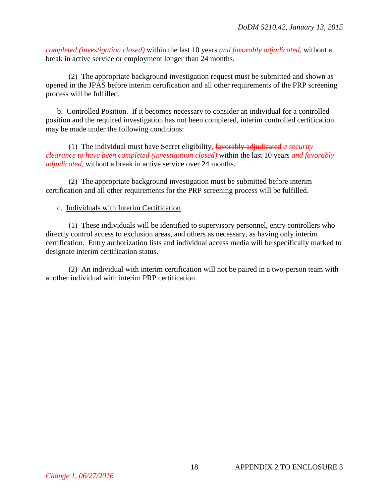*completed (investigation closed)* within the last 10 years *and favorably adjudicated*, without a break in active service or employment longer than 24 months.

(2) The appropriate background investigation request must be submitted and shown as opened in the JPAS before interim certification and all other requirements of the PRP screening process will be fulfilled.

b. Controlled Position. If it becomes necessary to consider an individual for a controlled position and the required investigation has not been completed, interim controlled certification may be made under the following conditions:

(1) The individual must have Secret eligibility*,* favorably adjudicated *a security clearance to have been completed (investigation closed)* within the last 10 years *and favorably adjudicated,* without a break in active service over 24 months.

(2) The appropriate background investigation must be submitted before interim certification and all other requirements for the PRP screening process will be fulfilled.

c. Individuals with Interim Certification

(1) These individuals will be identified to supervisory personnel, entry controllers who directly control access to exclusion areas, and others as necessary, as having only interim certification. Entry authorization lists and individual access media will be specifically marked to designate interim certification status.

(2) An individual with interim certification will not be paired in a two-person team with another individual with interim PRP certification.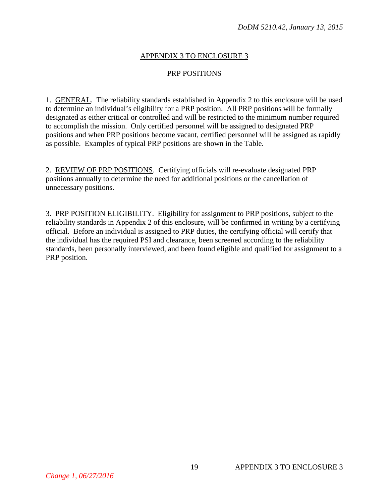## APPENDIX 3 TO ENCLOSURE 3

#### PRP POSITIONS

1. GENERAL. The reliability standards established in Appendix 2 to this enclosure will be used to determine an individual's eligibility for a PRP position. All PRP positions will be formally designated as either critical or controlled and will be restricted to the minimum number required to accomplish the mission. Only certified personnel will be assigned to designated PRP positions and when PRP positions become vacant, certified personnel will be assigned as rapidly as possible. Examples of typical PRP positions are shown in the Table.

2. REVIEW OF PRP POSITIONS. Certifying officials will re-evaluate designated PRP positions annually to determine the need for additional positions or the cancellation of unnecessary positions.

3. PRP POSITION ELIGIBILITY. Eligibility for assignment to PRP positions, subject to the reliability standards in Appendix 2 of this enclosure, will be confirmed in writing by a certifying official. Before an individual is assigned to PRP duties, the certifying official will certify that the individual has the required PSI and clearance, been screened according to the reliability standards, been personally interviewed, and been found eligible and qualified for assignment to a PRP position.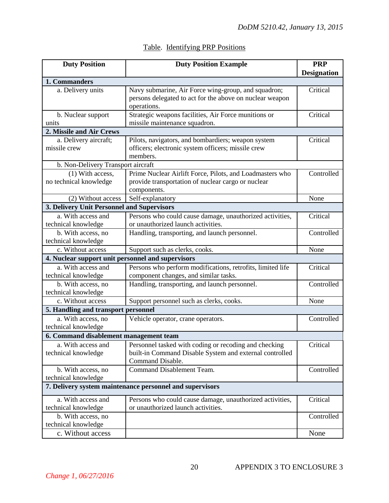| <b>Duty Position</b><br><b>Duty Position Example</b> |                                                                                       |                    |  |  |  |
|------------------------------------------------------|---------------------------------------------------------------------------------------|--------------------|--|--|--|
|                                                      |                                                                                       | <b>Designation</b> |  |  |  |
| 1. Commanders                                        |                                                                                       |                    |  |  |  |
| a. Delivery units                                    | Navy submarine, Air Force wing-group, and squadron;                                   | Critical           |  |  |  |
|                                                      | persons delegated to act for the above on nuclear weapon                              |                    |  |  |  |
|                                                      | operations.                                                                           |                    |  |  |  |
| b. Nuclear support<br>units                          | Strategic weapons facilities, Air Force munitions or<br>missile maintenance squadron. | Critical           |  |  |  |
| 2. Missile and Air Crews                             |                                                                                       |                    |  |  |  |
| a. Delivery aircraft;                                | Pilots, navigators, and bombardiers; weapon system                                    | Critical           |  |  |  |
| missile crew                                         | officers; electronic system officers; missile crew                                    |                    |  |  |  |
|                                                      | members.                                                                              |                    |  |  |  |
| b. Non-Delivery Transport aircraft                   |                                                                                       |                    |  |  |  |
| (1) With access,                                     | Prime Nuclear Airlift Force, Pilots, and Loadmasters who                              | Controlled         |  |  |  |
| no technical knowledge                               | provide transportation of nuclear cargo or nuclear                                    |                    |  |  |  |
|                                                      | components.                                                                           |                    |  |  |  |
| (2) Without access                                   | Self-explanatory                                                                      | None               |  |  |  |
| 3. Delivery Unit Personnel and Supervisors           |                                                                                       |                    |  |  |  |
| a. With access and                                   | Persons who could cause damage, unauthorized activities,                              | Critical           |  |  |  |
| technical knowledge                                  | or unauthorized launch activities.                                                    |                    |  |  |  |
| b. With access, no                                   | Handling, transporting, and launch personnel.                                         | Controlled         |  |  |  |
| technical knowledge                                  |                                                                                       |                    |  |  |  |
| c. Without access                                    | Support such as clerks, cooks.                                                        | None               |  |  |  |
| 4. Nuclear support unit personnel and supervisors    |                                                                                       |                    |  |  |  |
| a. With access and                                   | Persons who perform modifications, retrofits, limited life                            | Critical           |  |  |  |
| technical knowledge                                  | component changes, and similar tasks.                                                 |                    |  |  |  |
| b. With access, no                                   | Handling, transporting, and launch personnel.                                         | Controlled         |  |  |  |
| technical knowledge                                  |                                                                                       |                    |  |  |  |
| c. Without access                                    | Support personnel such as clerks, cooks.                                              | None               |  |  |  |
| 5. Handling and transport personnel                  |                                                                                       |                    |  |  |  |
| a. With access, no                                   | Vehicle operator, crane operators.                                                    | Controlled         |  |  |  |
| technical knowledge                                  |                                                                                       |                    |  |  |  |
| 6. Command disablement management team               |                                                                                       |                    |  |  |  |
|                                                      | a. With access and Personnel tasked with coding or recoding and checking              | Critical           |  |  |  |
| technical knowledge                                  | built-in Command Disable System and external controlled<br>Command Disable.           |                    |  |  |  |
| b. With access, no                                   | Command Disablement Team.                                                             | Controlled         |  |  |  |
| technical knowledge                                  |                                                                                       |                    |  |  |  |
|                                                      | 7. Delivery system maintenance personnel and supervisors                              |                    |  |  |  |
|                                                      |                                                                                       |                    |  |  |  |
| a. With access and                                   | Persons who could cause damage, unauthorized activities,                              | Critical           |  |  |  |
| technical knowledge                                  | or unauthorized launch activities.                                                    |                    |  |  |  |
| b. With access, no                                   |                                                                                       | Controlled         |  |  |  |
| technical knowledge                                  |                                                                                       |                    |  |  |  |
| c. Without access                                    |                                                                                       | None               |  |  |  |

# Table. Identifying PRP Positions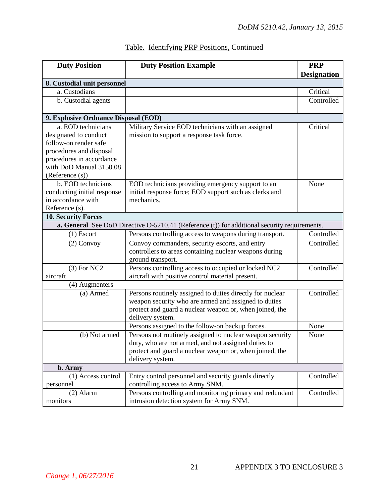| <b>Duty Position</b>                 | <b>Duty Position Example</b>                                                                          | <b>PRP</b><br><b>Designation</b> |
|--------------------------------------|-------------------------------------------------------------------------------------------------------|----------------------------------|
| 8. Custodial unit personnel          |                                                                                                       |                                  |
| a. Custodians                        |                                                                                                       | Critical                         |
| b. Custodial agents                  |                                                                                                       | Controlled                       |
| 9. Explosive Ordnance Disposal (EOD) |                                                                                                       |                                  |
| a. EOD technicians                   | Military Service EOD technicians with an assigned                                                     | Critical                         |
| designated to conduct                | mission to support a response task force.                                                             |                                  |
| follow-on render safe                |                                                                                                       |                                  |
| procedures and disposal              |                                                                                                       |                                  |
| procedures in accordance             |                                                                                                       |                                  |
| with DoD Manual 3150.08              |                                                                                                       |                                  |
| (Reference (s))                      |                                                                                                       |                                  |
| b. EOD technicians                   | EOD technicians providing emergency support to an                                                     | None                             |
| conducting initial response          | initial response force; EOD support such as clerks and                                                |                                  |
| in accordance with                   | mechanics.                                                                                            |                                  |
| Reference (s).                       |                                                                                                       |                                  |
| <b>10. Security Forces</b>           |                                                                                                       |                                  |
|                                      | <b>a. General</b> See DoD Directive $O-5210.41$ (Reference (t)) for additional security requirements. |                                  |
| $(1)$ Escort                         | Persons controlling access to weapons during transport.                                               | Controlled                       |
| $(2)$ Convoy                         | Convoy commanders, security escorts, and entry                                                        | Controlled                       |
|                                      | controllers to areas containing nuclear weapons during                                                |                                  |
|                                      | ground transport.                                                                                     |                                  |
| $(3)$ For NC2                        | Persons controlling access to occupied or locked NC2                                                  | Controlled                       |
| aircraft                             | aircraft with positive control material present.                                                      |                                  |
| (4) Augmenters                       |                                                                                                       |                                  |
| (a) Armed                            | Persons routinely assigned to duties directly for nuclear                                             | Controlled                       |
|                                      | weapon security who are armed and assigned to duties                                                  |                                  |
|                                      | protect and guard a nuclear weapon or, when joined, the                                               |                                  |
|                                      | delivery system.                                                                                      |                                  |
|                                      | Persons assigned to the follow-on backup forces.                                                      | None                             |
| (b) Not armed                        | Persons not routinely assigned to nuclear weapon security                                             | None                             |
|                                      | duty, who are not armed, and not assigned duties to                                                   |                                  |
|                                      | protect and guard a nuclear weapon or, when joined, the                                               |                                  |
|                                      | delivery system.                                                                                      |                                  |
| b. Army                              |                                                                                                       |                                  |
| (1) Access control                   | Entry control personnel and security guards directly                                                  | Controlled                       |
| personnel                            | controlling access to Army SNM.                                                                       |                                  |
| $(2)$ Alarm                          | Persons controlling and monitoring primary and redundant                                              | Controlled                       |
| monitors                             | intrusion detection system for Army SNM.                                                              |                                  |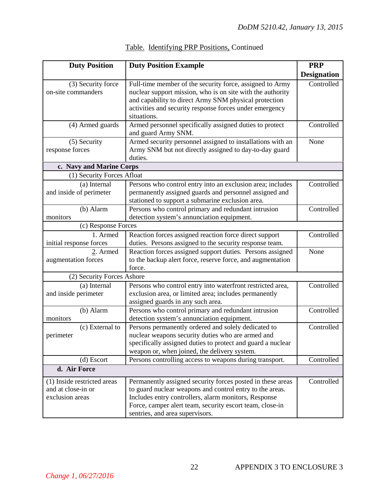| <b>Duty Position</b>                                   | <b>Duty Position Example</b>                                                                                           | <b>PRP</b>         |
|--------------------------------------------------------|------------------------------------------------------------------------------------------------------------------------|--------------------|
|                                                        |                                                                                                                        | <b>Designation</b> |
| (3) Security force<br>on-site commanders               | Full-time member of the security force, assigned to Army<br>nuclear support mission, who is on site with the authority | Controlled         |
|                                                        | and capability to direct Army SNM physical protection                                                                  |                    |
|                                                        | activities and security response forces under emergency                                                                |                    |
|                                                        | situations.                                                                                                            |                    |
| (4) Armed guards                                       | Armed personnel specifically assigned duties to protect                                                                | Controlled         |
|                                                        | and guard Army SNM.                                                                                                    |                    |
| (5) Security                                           | Armed security personnel assigned to installations with an                                                             | None               |
| response forces                                        | Army SNM but not directly assigned to day-to-day guard                                                                 |                    |
|                                                        | duties.                                                                                                                |                    |
| c. Navy and Marine Corps<br>(1) Security Forces Afloat |                                                                                                                        |                    |
|                                                        |                                                                                                                        | Controlled         |
| (a) Internal<br>and inside of perimeter                | Persons who control entry into an exclusion area; includes<br>permanently assigned guards and personnel assigned and   |                    |
|                                                        | stationed to support a submarine exclusion area.                                                                       |                    |
| (b) Alarm                                              | Persons who control primary and redundant intrusion                                                                    | Controlled         |
| monitors                                               | detection system's annunciation equipment.                                                                             |                    |
| (c) Response Forces                                    |                                                                                                                        |                    |
| 1. Armed                                               | Reaction forces assigned reaction force direct support                                                                 | Controlled         |
| initial response forces                                | duties. Persons assigned to the security response team.                                                                |                    |
| $2.$ Armed                                             | Reaction forces assigned support duties. Persons assigned                                                              | None               |
| augmentation forces                                    | to the backup alert force, reserve force, and augmentation                                                             |                    |
|                                                        | force.                                                                                                                 |                    |
| (2) Security Forces Ashore                             |                                                                                                                        |                    |
| (a) Internal                                           | Persons who control entry into waterfront restricted area,                                                             | Controlled         |
| and inside perimeter                                   | exclusion area, or limited area; includes permanently<br>assigned guards in any such area.                             |                    |
| (b) Alarm                                              | Persons who control primary and redundant intrusion                                                                    | Controlled         |
| monitors                                               | detection system's annunciation equipment.                                                                             |                    |
| (c) External to                                        | Persons permanently ordered and solely dedicated to                                                                    | Controlled         |
| perimeter                                              | nuclear weapons security duties who are armed and                                                                      |                    |
|                                                        | specifically assigned duties to protect and guard a nuclear                                                            |                    |
|                                                        | weapon or, when joined, the delivery system.                                                                           |                    |
| (d) Escort                                             | Persons controlling access to weapons during transport.                                                                | Controlled         |
| d. Air Force                                           |                                                                                                                        |                    |
| (1) Inside restricted areas                            | Permanently assigned security forces posted in these areas                                                             | Controlled         |
| and at close-in or                                     | to guard nuclear weapons and control entry to the areas.                                                               |                    |
| exclusion areas                                        | Includes entry controllers, alarm monitors, Response                                                                   |                    |
|                                                        | Force, camper alert team, security escort team, close-in                                                               |                    |
|                                                        | sentries, and area supervisors.                                                                                        |                    |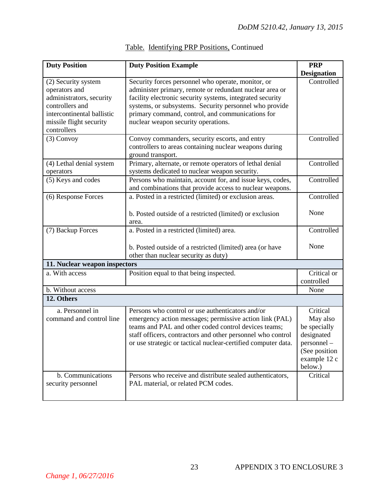| <b>Duty Position</b>                                                                                                                                        | <b>Duty Position Example</b>                                                                                                                                                                                                                                                                                                    | <b>PRP</b>                                                                                                   |
|-------------------------------------------------------------------------------------------------------------------------------------------------------------|---------------------------------------------------------------------------------------------------------------------------------------------------------------------------------------------------------------------------------------------------------------------------------------------------------------------------------|--------------------------------------------------------------------------------------------------------------|
|                                                                                                                                                             |                                                                                                                                                                                                                                                                                                                                 | <b>Designation</b>                                                                                           |
| (2) Security system<br>operators and<br>administrators, security<br>controllers and<br>intercontinental ballistic<br>missile flight security<br>controllers | Security forces personnel who operate, monitor, or<br>administer primary, remote or redundant nuclear area or<br>facility electronic security systems, integrated security<br>systems, or subsystems. Security personnel who provide<br>primary command, control, and communications for<br>nuclear weapon security operations. | Controlled                                                                                                   |
| $(3)$ Convoy                                                                                                                                                | Convoy commanders, security escorts, and entry<br>controllers to areas containing nuclear weapons during<br>ground transport.                                                                                                                                                                                                   | Controlled                                                                                                   |
| (4) Lethal denial system<br>operators                                                                                                                       | Primary, alternate, or remote operators of lethal denial<br>systems dedicated to nuclear weapon security.                                                                                                                                                                                                                       | Controlled                                                                                                   |
| (5) Keys and codes                                                                                                                                          | Persons who maintain, account for, and issue keys, codes,<br>and combinations that provide access to nuclear weapons.                                                                                                                                                                                                           | Controlled                                                                                                   |
| (6) Response Forces                                                                                                                                         | a. Posted in a restricted (limited) or exclusion areas.                                                                                                                                                                                                                                                                         | Controlled                                                                                                   |
|                                                                                                                                                             | b. Posted outside of a restricted (limited) or exclusion<br>area.                                                                                                                                                                                                                                                               | None                                                                                                         |
| (7) Backup Forces                                                                                                                                           | a. Posted in a restricted (limited) area.                                                                                                                                                                                                                                                                                       | Controlled                                                                                                   |
|                                                                                                                                                             | b. Posted outside of a restricted (limited) area (or have<br>other than nuclear security as duty)                                                                                                                                                                                                                               | None                                                                                                         |
| 11. Nuclear weapon inspectors                                                                                                                               |                                                                                                                                                                                                                                                                                                                                 |                                                                                                              |
| a. With access                                                                                                                                              | Position equal to that being inspected.                                                                                                                                                                                                                                                                                         | Critical or<br>controlled                                                                                    |
| b. Without access                                                                                                                                           |                                                                                                                                                                                                                                                                                                                                 | None                                                                                                         |
| 12. Others                                                                                                                                                  |                                                                                                                                                                                                                                                                                                                                 |                                                                                                              |
| a. Personnel in<br>command and control line                                                                                                                 | Persons who control or use authenticators and/or<br>emergency action messages; permissive action link (PAL)<br>teams and PAL and other coded control devices teams;<br>staff officers, contractors and other personnel who control<br>or use strategic or tactical nuclear-certified computer data.                             | Critical<br>May also<br>be specially<br>designated<br>personnel<br>(See position)<br>example 12 c<br>below.) |
| b. Communications<br>security personnel                                                                                                                     | Persons who receive and distribute sealed authenticators,<br>PAL material, or related PCM codes.                                                                                                                                                                                                                                | Critical                                                                                                     |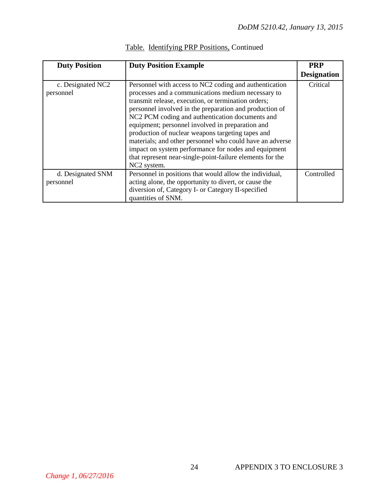| <b>Duty Position</b>           | <b>Duty Position Example</b>                                                                                                                                                                                                                                                                                                                                                                                                                                                                                                                                                                           | <b>PRP</b>         |
|--------------------------------|--------------------------------------------------------------------------------------------------------------------------------------------------------------------------------------------------------------------------------------------------------------------------------------------------------------------------------------------------------------------------------------------------------------------------------------------------------------------------------------------------------------------------------------------------------------------------------------------------------|--------------------|
|                                |                                                                                                                                                                                                                                                                                                                                                                                                                                                                                                                                                                                                        | <b>Designation</b> |
| c. Designated NC2<br>personnel | Personnel with access to NC2 coding and authentication<br>processes and a communications medium necessary to<br>transmit release, execution, or termination orders;<br>personnel involved in the preparation and production of<br>NC2 PCM coding and authentication documents and<br>equipment; personnel involved in preparation and<br>production of nuclear weapons targeting tapes and<br>materials; and other personnel who could have an adverse<br>impact on system performance for nodes and equipment<br>that represent near-single-point-failure elements for the<br>NC <sub>2</sub> system. | Critical           |
| d. Designated SNM              | Personnel in positions that would allow the individual,                                                                                                                                                                                                                                                                                                                                                                                                                                                                                                                                                | Controlled         |
| personnel                      | acting alone, the opportunity to divert, or cause the                                                                                                                                                                                                                                                                                                                                                                                                                                                                                                                                                  |                    |
|                                | diversion of, Category I- or Category II-specified                                                                                                                                                                                                                                                                                                                                                                                                                                                                                                                                                     |                    |
|                                | quantities of SNM.                                                                                                                                                                                                                                                                                                                                                                                                                                                                                                                                                                                     |                    |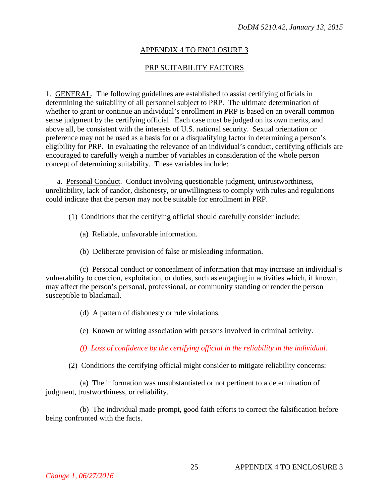## APPENDIX 4 TO ENCLOSURE 3

# PRP SUITABILITY FACTORS

1. GENERAL. The following guidelines are established to assist certifying officials in determining the suitability of all personnel subject to PRP. The ultimate determination of whether to grant or continue an individual's enrollment in PRP is based on an overall common sense judgment by the certifying official. Each case must be judged on its own merits, and above all, be consistent with the interests of U.S. national security. Sexual orientation or preference may not be used as a basis for or a disqualifying factor in determining a person's eligibility for PRP. In evaluating the relevance of an individual's conduct, certifying officials are encouraged to carefully weigh a number of variables in consideration of the whole person concept of determining suitability. These variables include:

a. Personal Conduct. Conduct involving questionable judgment, untrustworthiness, unreliability, lack of candor, dishonesty, or unwillingness to comply with rules and regulations could indicate that the person may not be suitable for enrollment in PRP.

- (1) Conditions that the certifying official should carefully consider include:
	- (a) Reliable, unfavorable information.
	- (b) Deliberate provision of false or misleading information.

(c) Personal conduct or concealment of information that may increase an individual's vulnerability to coercion, exploitation, or duties, such as engaging in activities which, if known, may affect the person's personal, professional, or community standing or render the person susceptible to blackmail.

- (d) A pattern of dishonesty or rule violations.
- (e) Known or witting association with persons involved in criminal activity.

*(f) Loss of confidence by the certifying official in the reliability in the individual.* 

(2) Conditions the certifying official might consider to mitigate reliability concerns:

(a) The information was unsubstantiated or not pertinent to a determination of judgment, trustworthiness, or reliability.

(b) The individual made prompt, good faith efforts to correct the falsification before being confronted with the facts.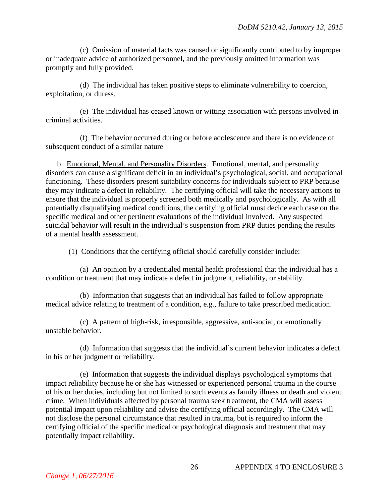(c) Omission of material facts was caused or significantly contributed to by improper or inadequate advice of authorized personnel, and the previously omitted information was promptly and fully provided.

(d) The individual has taken positive steps to eliminate vulnerability to coercion, exploitation, or duress.

(e) The individual has ceased known or witting association with persons involved in criminal activities.

(f) The behavior occurred during or before adolescence and there is no evidence of subsequent conduct of a similar nature

b. Emotional, Mental, and Personality Disorders. Emotional, mental, and personality disorders can cause a significant deficit in an individual's psychological, social, and occupational functioning. These disorders present suitability concerns for individuals subject to PRP because they may indicate a defect in reliability. The certifying official will take the necessary actions to ensure that the individual is properly screened both medically and psychologically. As with all potentially disqualifying medical conditions, the certifying official must decide each case on the specific medical and other pertinent evaluations of the individual involved. Any suspected suicidal behavior will result in the individual's suspension from PRP duties pending the results of a mental health assessment.

(1) Conditions that the certifying official should carefully consider include:

(a) An opinion by a credentialed mental health professional that the individual has a condition or treatment that may indicate a defect in judgment, reliability, or stability.

(b) Information that suggests that an individual has failed to follow appropriate medical advice relating to treatment of a condition, e.g., failure to take prescribed medication.

(c) A pattern of high-risk, irresponsible, aggressive, anti-social, or emotionally unstable behavior.

(d) Information that suggests that the individual's current behavior indicates a defect in his or her judgment or reliability.

(e) Information that suggests the individual displays psychological symptoms that impact reliability because he or she has witnessed or experienced personal trauma in the course of his or her duties, including but not limited to such events as family illness or death and violent crime. When individuals affected by personal trauma seek treatment, the CMA will assess potential impact upon reliability and advise the certifying official accordingly. The CMA will not disclose the personal circumstance that resulted in trauma, but is required to inform the certifying official of the specific medical or psychological diagnosis and treatment that may potentially impact reliability.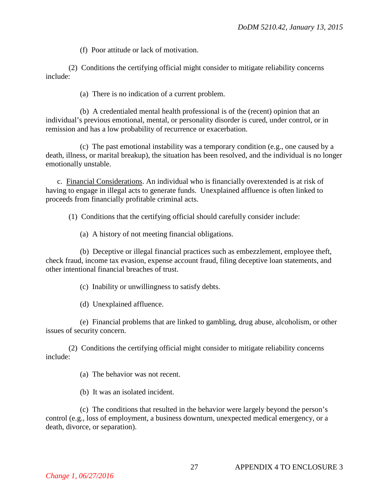(f) Poor attitude or lack of motivation.

(2) Conditions the certifying official might consider to mitigate reliability concerns include:

(a) There is no indication of a current problem.

(b) A credentialed mental health professional is of the (recent) opinion that an individual's previous emotional, mental, or personality disorder is cured, under control, or in remission and has a low probability of recurrence or exacerbation.

(c) The past emotional instability was a temporary condition (e.g., one caused by a death, illness, or marital breakup), the situation has been resolved, and the individual is no longer emotionally unstable.

c. Financial Considerations. An individual who is financially overextended is at risk of having to engage in illegal acts to generate funds. Unexplained affluence is often linked to proceeds from financially profitable criminal acts.

(1) Conditions that the certifying official should carefully consider include:

(a) A history of not meeting financial obligations.

(b) Deceptive or illegal financial practices such as embezzlement, employee theft, check fraud, income tax evasion, expense account fraud, filing deceptive loan statements, and other intentional financial breaches of trust.

(c) Inability or unwillingness to satisfy debts.

(d) Unexplained affluence.

(e) Financial problems that are linked to gambling, drug abuse, alcoholism, or other issues of security concern.

(2) Conditions the certifying official might consider to mitigate reliability concerns include:

(a) The behavior was not recent.

(b) It was an isolated incident.

(c) The conditions that resulted in the behavior were largely beyond the person's control (e.g., loss of employment, a business downturn, unexpected medical emergency, or a death, divorce, or separation).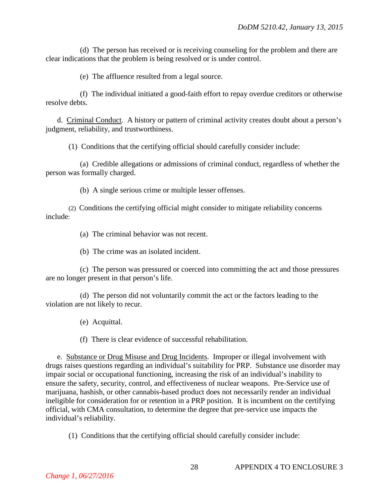(d) The person has received or is receiving counseling for the problem and there are clear indications that the problem is being resolved or is under control.

(e) The affluence resulted from a legal source.

(f) The individual initiated a good-faith effort to repay overdue creditors or otherwise resolve debts.

d. Criminal Conduct. A history or pattern of criminal activity creates doubt about a person's judgment, reliability, and trustworthiness.

(1) Conditions that the certifying official should carefully consider include:

(a) Credible allegations or admissions of criminal conduct, regardless of whether the person was formally charged.

(b) A single serious crime or multiple lesser offenses.

(2) Conditions the certifying official might consider to mitigate reliability concerns include:

(a) The criminal behavior was not recent.

(b) The crime was an isolated incident.

(c) The person was pressured or coerced into committing the act and those pressures are no longer present in that person's life.

(d) The person did not voluntarily commit the act or the factors leading to the violation are not likely to recur.

(e) Acquittal.

(f) There is clear evidence of successful rehabilitation.

e. Substance or Drug Misuse and Drug Incidents. Improper or illegal involvement with drugs raises questions regarding an individual's suitability for PRP. Substance use disorder may impair social or occupational functioning, increasing the risk of an individual's inability to ensure the safety, security, control, and effectiveness of nuclear weapons. Pre-Service use of marijuana, hashish, or other cannabis-based product does not necessarily render an individual ineligible for consideration for or retention in a PRP position. It is incumbent on the certifying official, with CMA consultation, to determine the degree that pre-service use impacts the individual's reliability.

(1) Conditions that the certifying official should carefully consider include: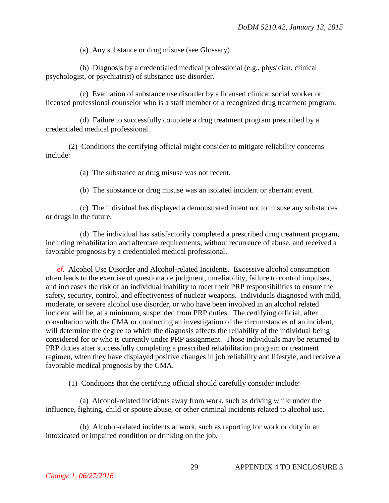(a) Any substance or drug misuse (see Glossary).

(b) Diagnosis by a credentialed medical professional (e.g., physician, clinical psychologist, or psychiatrist) of substance use disorder.

(c) Evaluation of substance use disorder by a licensed clinical social worker or licensed professional counselor who is a staff member of a recognized drug treatment program.

(d) Failure to successfully complete a drug treatment program prescribed by a credentialed medical professional.

(2) Conditions the certifying official might consider to mitigate reliability concerns include:

(a) The substance or drug misuse was not recent.

(b) The substance or drug misuse was an isolated incident or aberrant event.

(c) The individual has displayed a demonstrated intent not to misuse any substances or drugs in the future.

(d) The individual has satisfactorily completed a prescribed drug treatment program, including rehabilitation and aftercare requirements, without recurrence of abuse, and received a favorable prognosis by a credentialed medical professional.

e*f*. Alcohol Use Disorder and Alcohol-related Incidents. Excessive alcohol consumption often leads to the exercise of questionable judgment, unreliability, failure to control impulses, and increases the risk of an individual inability to meet their PRP responsibilities to ensure the safety, security, control, and effectiveness of nuclear weapons. Individuals diagnosed with mild, moderate, or severe alcohol use disorder, or who have been involved in an alcohol related incident will be, at a minimum, suspended from PRP duties. The certifying official, after consultation with the CMA or conducting an investigation of the circumstances of an incident, will determine the degree to which the diagnosis affects the reliability of the individual being considered for or who is currently under PRP assignment. Those individuals may be returned to PRP duties after successfully completing a prescribed rehabilitation program or treatment regimen, when they have displayed positive changes in job reliability and lifestyle, and receive a favorable medical prognosis by the CMA.

(1) Conditions that the certifying official should carefully consider include:

(a) Alcohol-related incidents away from work, such as driving while under the influence, fighting, child or spouse abuse, or other criminal incidents related to alcohol use.

(b) Alcohol-related incidents at work, such as reporting for work or duty in an intoxicated or impaired condition or drinking on the job.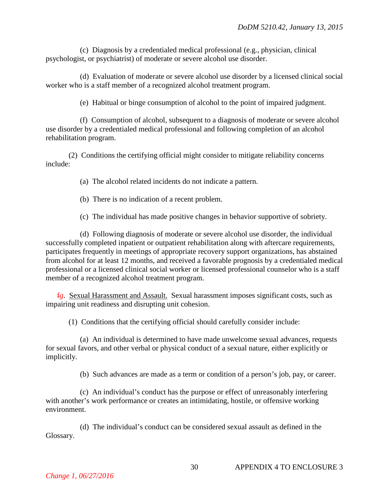(c) Diagnosis by a credentialed medical professional (e.g., physician, clinical psychologist, or psychiatrist) of moderate or severe alcohol use disorder.

(d) Evaluation of moderate or severe alcohol use disorder by a licensed clinical social worker who is a staff member of a recognized alcohol treatment program.

(e) Habitual or binge consumption of alcohol to the point of impaired judgment.

(f) Consumption of alcohol, subsequent to a diagnosis of moderate or severe alcohol use disorder by a credentialed medical professional and following completion of an alcohol rehabilitation program.

(2) Conditions the certifying official might consider to mitigate reliability concerns include:

(a) The alcohol related incidents do not indicate a pattern.

(b) There is no indication of a recent problem.

(c) The individual has made positive changes in behavior supportive of sobriety.

(d) Following diagnosis of moderate or severe alcohol use disorder, the individual successfully completed inpatient or outpatient rehabilitation along with aftercare requirements, participates frequently in meetings of appropriate recovery support organizations, has abstained from alcohol for at least 12 months, and received a favorable prognosis by a credentialed medical professional or a licensed clinical social worker or licensed professional counselor who is a staff member of a recognized alcohol treatment program.

f*g*. Sexual Harassment and Assault. Sexual harassment imposes significant costs, such as impairing unit readiness and disrupting unit cohesion.

(1) Conditions that the certifying official should carefully consider include:

(a) An individual is determined to have made unwelcome sexual advances, requests for sexual favors, and other verbal or physical conduct of a sexual nature, either explicitly or implicitly.

(b) Such advances are made as a term or condition of a person's job, pay, or career.

(c) An individual's conduct has the purpose or effect of unreasonably interfering with another's work performance or creates an intimidating, hostile, or offensive working environment.

(d) The individual's conduct can be considered sexual assault as defined in the Glossary.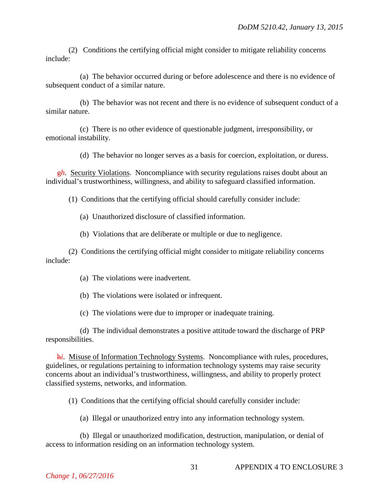(2) Conditions the certifying official might consider to mitigate reliability concerns include:

(a) The behavior occurred during or before adolescence and there is no evidence of subsequent conduct of a similar nature.

(b) The behavior was not recent and there is no evidence of subsequent conduct of a similar nature.

(c) There is no other evidence of questionable judgment, irresponsibility, or emotional instability.

(d) The behavior no longer serves as a basis for coercion, exploitation, or duress.

**gh.** Security Violations. Noncompliance with security regulations raises doubt about an individual's trustworthiness, willingness, and ability to safeguard classified information.

(1) Conditions that the certifying official should carefully consider include:

(a) Unauthorized disclosure of classified information.

(b) Violations that are deliberate or multiple or due to negligence.

(2) Conditions the certifying official might consider to mitigate reliability concerns include:

(a) The violations were inadvertent.

(b) The violations were isolated or infrequent.

(c) The violations were due to improper or inadequate training.

(d) The individual demonstrates a positive attitude toward the discharge of PRP responsibilities.

h*i*. Misuse of Information Technology Systems. Noncompliance with rules, procedures, guidelines, or regulations pertaining to information technology systems may raise security concerns about an individual's trustworthiness, willingness, and ability to properly protect classified systems, networks, and information.

(1) Conditions that the certifying official should carefully consider include:

(a) Illegal or unauthorized entry into any information technology system.

(b) Illegal or unauthorized modification, destruction, manipulation, or denial of access to information residing on an information technology system.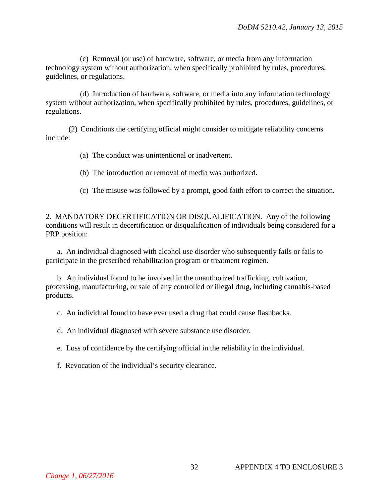(c) Removal (or use) of hardware, software, or media from any information technology system without authorization, when specifically prohibited by rules, procedures, guidelines, or regulations.

(d) Introduction of hardware, software, or media into any information technology system without authorization, when specifically prohibited by rules, procedures, guidelines, or regulations.

(2) Conditions the certifying official might consider to mitigate reliability concerns include:

- (a) The conduct was unintentional or inadvertent.
- (b) The introduction or removal of media was authorized.
- (c) The misuse was followed by a prompt, good faith effort to correct the situation.

2. MANDATORY DECERTIFICATION OR DISQUALIFICATION. Any of the following conditions will result in decertification or disqualification of individuals being considered for a PRP position:

a. An individual diagnosed with alcohol use disorder who subsequently fails or fails to participate in the prescribed rehabilitation program or treatment regimen.

b. An individual found to be involved in the unauthorized trafficking, cultivation, processing, manufacturing, or sale of any controlled or illegal drug, including cannabis-based products.

c. An individual found to have ever used a drug that could cause flashbacks.

d. An individual diagnosed with severe substance use disorder.

e. Loss of confidence by the certifying official in the reliability in the individual.

f. Revocation of the individual's security clearance.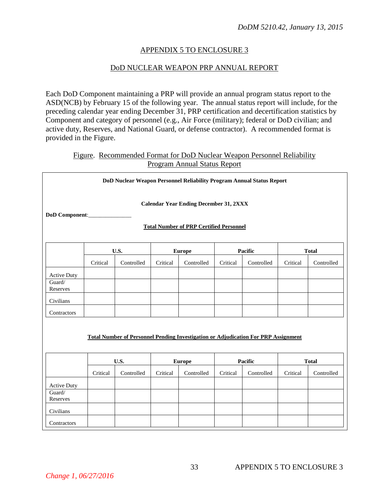### APPENDIX 5 TO ENCLOSURE 3

#### DoD NUCLEAR WEAPON PRP ANNUAL REPORT

Each DoD Component maintaining a PRP will provide an annual program status report to the ASD(NCB) by February 15 of the following year. The annual status report will include, for the preceding calendar year ending December 31, PRP certification and decertification statistics by Component and category of personnel (e.g., Air Force (military); federal or DoD civilian; and active duty, Reserves, and National Guard, or defense contractor). A recommended format is provided in the Figure.

#### Figure. Recommended Format for DoD Nuclear Weapon Personnel Reliability Program Annual Status Report

|                                                                      |          | DoD Nuclear Weapon Personnel Reliability Program Annual Status Report                      |          |                                                                                                 |          |            |          |              |
|----------------------------------------------------------------------|----------|--------------------------------------------------------------------------------------------|----------|-------------------------------------------------------------------------------------------------|----------|------------|----------|--------------|
| DoD Component:                                                       |          |                                                                                            |          | <b>Calendar Year Ending December 31, 2XXX</b><br><b>Total Number of PRP Certified Personnel</b> |          |            |          |              |
|                                                                      |          | <b>U.S.</b>                                                                                |          | <b>Europe</b>                                                                                   |          | Pacific    |          | <b>Total</b> |
|                                                                      | Critical | Controlled                                                                                 | Critical | Controlled                                                                                      | Critical | Controlled | Critical | Controlled   |
| <b>Active Duty</b><br>Guard/<br>Reserves                             |          |                                                                                            |          |                                                                                                 |          |            |          |              |
| Civilians                                                            |          |                                                                                            |          |                                                                                                 |          |            |          |              |
| Contractors                                                          |          |                                                                                            |          |                                                                                                 |          |            |          |              |
|                                                                      |          | Total Number of Personnel Pending Investigation or Adjudication For PRP Assignment<br>U.S. |          | <b>Europe</b>                                                                                   |          | Pacific    |          | <b>Total</b> |
|                                                                      | Critical | Controlled                                                                                 | Critical | Controlled                                                                                      | Critical | Controlled | Critical | Controlled   |
| <b>Active Duty</b><br>Guard/<br>Reserves<br>Civilians<br>Contractors |          |                                                                                            |          |                                                                                                 |          |            |          |              |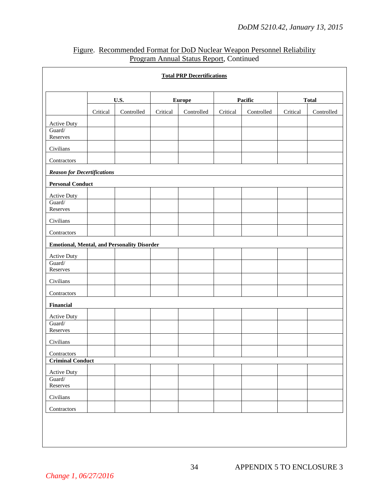|                                                    |          |            |               | <b>Total PRP Decertifications</b> |          |            |              |            |
|----------------------------------------------------|----------|------------|---------------|-----------------------------------|----------|------------|--------------|------------|
|                                                    | U.S.     |            | <b>Europe</b> |                                   | Pacific  |            | <b>Total</b> |            |
|                                                    | Critical | Controlled | Critical      | Controlled                        | Critical | Controlled | Critical     | Controlled |
| <b>Active Duty</b>                                 |          |            |               |                                   |          |            |              |            |
| Guard/<br>Reserves                                 |          |            |               |                                   |          |            |              |            |
| Civilians                                          |          |            |               |                                   |          |            |              |            |
| Contractors                                        |          |            |               |                                   |          |            |              |            |
| <b>Reason for Decertifications</b>                 |          |            |               |                                   |          |            |              |            |
| <b>Personal Conduct</b>                            |          |            |               |                                   |          |            |              |            |
| <b>Active Duty</b>                                 |          |            |               |                                   |          |            |              |            |
| Guard/<br>Reserves                                 |          |            |               |                                   |          |            |              |            |
| Civilians                                          |          |            |               |                                   |          |            |              |            |
| Contractors                                        |          |            |               |                                   |          |            |              |            |
| <b>Emotional, Mental, and Personality Disorder</b> |          |            |               |                                   |          |            |              |            |
| <b>Active Duty</b>                                 |          |            |               |                                   |          |            |              |            |
| Guard/<br>Reserves                                 |          |            |               |                                   |          |            |              |            |
| Civilians                                          |          |            |               |                                   |          |            |              |            |
| Contractors                                        |          |            |               |                                   |          |            |              |            |
| Financial                                          |          |            |               |                                   |          |            |              |            |
| <b>Active Duty</b>                                 |          |            |               |                                   |          |            |              |            |
| Guard/<br>Reserves                                 |          |            |               |                                   |          |            |              |            |
| Civilians                                          |          |            |               |                                   |          |            |              |            |
| Contractors                                        |          |            |               |                                   |          |            |              |            |
| <b>Criminal Conduct</b>                            |          |            |               |                                   |          |            |              |            |
| <b>Active Duty</b>                                 |          |            |               |                                   |          |            |              |            |
| Guard/<br>Reserves                                 |          |            |               |                                   |          |            |              |            |
| Civilians                                          |          |            |               |                                   |          |            |              |            |
| Contractors                                        |          |            |               |                                   |          |            |              |            |

# Figure. Recommended Format for DoD Nuclear Weapon Personnel Reliability Program Annual Status Report, Continued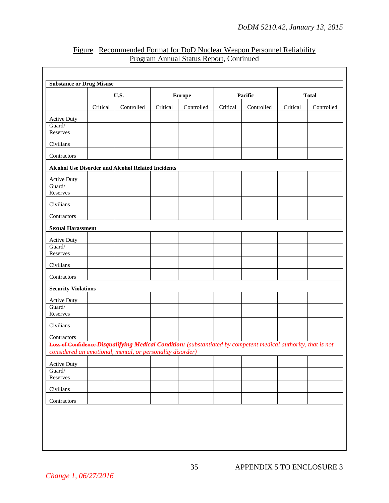|                            | U.S.     |                                                                                                                                                                             | <b>Europe</b> |            | Pacific  |            | <b>Total</b> |            |
|----------------------------|----------|-----------------------------------------------------------------------------------------------------------------------------------------------------------------------------|---------------|------------|----------|------------|--------------|------------|
|                            | Critical | Controlled                                                                                                                                                                  | Critical      | Controlled | Critical | Controlled | Critical     | Controlled |
| <b>Active Duty</b>         |          |                                                                                                                                                                             |               |            |          |            |              |            |
| Guard/<br>Reserves         |          |                                                                                                                                                                             |               |            |          |            |              |            |
| Civilians                  |          |                                                                                                                                                                             |               |            |          |            |              |            |
| Contractors                |          |                                                                                                                                                                             |               |            |          |            |              |            |
|                            |          | Alcohol Use Disorder and Alcohol Related Incidents                                                                                                                          |               |            |          |            |              |            |
| <b>Active Duty</b>         |          |                                                                                                                                                                             |               |            |          |            |              |            |
| Guard/<br>Reserves         |          |                                                                                                                                                                             |               |            |          |            |              |            |
| Civilians                  |          |                                                                                                                                                                             |               |            |          |            |              |            |
| Contractors                |          |                                                                                                                                                                             |               |            |          |            |              |            |
| <b>Sexual Harassment</b>   |          |                                                                                                                                                                             |               |            |          |            |              |            |
| <b>Active Duty</b>         |          |                                                                                                                                                                             |               |            |          |            |              |            |
| Guard/<br>Reserves         |          |                                                                                                                                                                             |               |            |          |            |              |            |
| Civilians                  |          |                                                                                                                                                                             |               |            |          |            |              |            |
| Contractors                |          |                                                                                                                                                                             |               |            |          |            |              |            |
| <b>Security Violations</b> |          |                                                                                                                                                                             |               |            |          |            |              |            |
| Active Duty                |          |                                                                                                                                                                             |               |            |          |            |              |            |
| Guard/<br>Reserves         |          |                                                                                                                                                                             |               |            |          |            |              |            |
| Civilians                  |          |                                                                                                                                                                             |               |            |          |            |              |            |
| Contractors                |          |                                                                                                                                                                             |               |            |          |            |              |            |
|                            |          | Loss of Confidence-Disqualifying Medical Condition: (substantiated by competent medical authority, that is not<br>considered an emotional, mental, or personality disorder) |               |            |          |            |              |            |
| <b>Active Duty</b>         |          |                                                                                                                                                                             |               |            |          |            |              |            |
| Guard/<br>Reserves         |          |                                                                                                                                                                             |               |            |          |            |              |            |
| Civilians                  |          |                                                                                                                                                                             |               |            |          |            |              |            |
| Contractors                |          |                                                                                                                                                                             |               |            |          |            |              |            |

# Figure. Recommended Format for DoD Nuclear Weapon Personnel Reliability Program Annual Status Report, Continued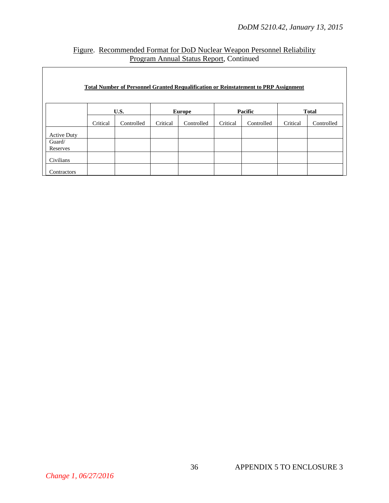# Figure. Recommended Format for DoD Nuclear Weapon Personnel Reliability Program Annual Status Report, Continued

|                    |          |            |          | <b>Total Number of Personnel Granted Requalification or Reinstatement to PRP Assignment</b> |          |            |          |              |
|--------------------|----------|------------|----------|---------------------------------------------------------------------------------------------|----------|------------|----------|--------------|
|                    |          |            |          |                                                                                             |          |            |          |              |
|                    |          | U.S.       |          | <b>Europe</b>                                                                               |          | Pacific    |          | <b>Total</b> |
|                    | Critical | Controlled | Critical | Controlled                                                                                  | Critical | Controlled | Critical | Controlled   |
| <b>Active Duty</b> |          |            |          |                                                                                             |          |            |          |              |
| Guard/             |          |            |          |                                                                                             |          |            |          |              |
| Reserves           |          |            |          |                                                                                             |          |            |          |              |
| Civilians          |          |            |          |                                                                                             |          |            |          |              |
| Contractors        |          |            |          |                                                                                             |          |            |          |              |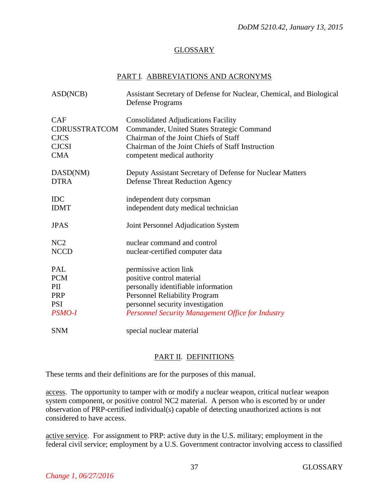# GLOSSARY

#### PART I. ABBREVIATIONS AND ACRONYMS

| ASD(NCB)             | Assistant Secretary of Defense for Nuclear, Chemical, and Biological<br>Defense Programs |
|----------------------|------------------------------------------------------------------------------------------|
| <b>CAF</b>           | <b>Consolidated Adjudications Facility</b>                                               |
| <b>CDRUSSTRATCOM</b> | Commander, United States Strategic Command                                               |
| <b>CJCS</b>          | Chairman of the Joint Chiefs of Staff                                                    |
| <b>CJCSI</b>         | Chairman of the Joint Chiefs of Staff Instruction                                        |
| <b>CMA</b>           | competent medical authority                                                              |
| DASD(NM)             | Deputy Assistant Secretary of Defense for Nuclear Matters                                |
| <b>DTRA</b>          | <b>Defense Threat Reduction Agency</b>                                                   |
| <b>IDC</b>           | independent duty corpsman                                                                |
| <b>IDMT</b>          | independent duty medical technician                                                      |
| <b>JPAS</b>          | Joint Personnel Adjudication System                                                      |
| NC <sub>2</sub>      | nuclear command and control                                                              |
| <b>NCCD</b>          | nuclear-certified computer data                                                          |
| PAL                  | permissive action link                                                                   |
| <b>PCM</b>           | positive control material                                                                |
| PII                  | personally identifiable information                                                      |
| <b>PRP</b>           | Personnel Reliability Program                                                            |
| <b>PSI</b>           | personnel security investigation                                                         |
| <b>PSMO-I</b>        | Personnel Security Management Office for Industry                                        |
| <b>SNM</b>           | special nuclear material                                                                 |

## PART II. DEFINITIONS

These terms and their definitions are for the purposes of this manual.

access. The opportunity to tamper with or modify a nuclear weapon, critical nuclear weapon system component, or positive control NC2 material. A person who is escorted by or under observation of PRP-certified individual(s) capable of detecting unauthorized actions is not considered to have access.

active service. For assignment to PRP: active duty in the U.S. military; employment in the federal civil service; employment by a U.S. Government contractor involving access to classified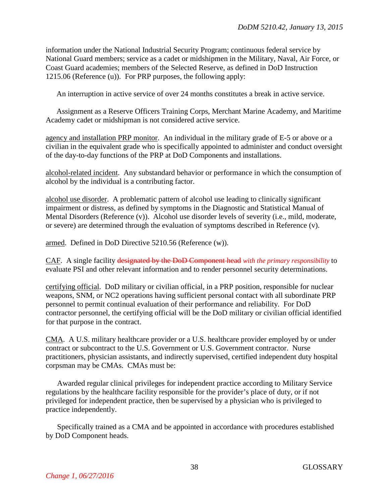information under the National Industrial Security Program; continuous federal service by National Guard members; service as a cadet or midshipmen in the Military, Naval, Air Force, or Coast Guard academies; members of the Selected Reserve, as defined in DoD Instruction 1215.06 (Reference (u)). For PRP purposes, the following apply:

An interruption in active service of over 24 months constitutes a break in active service.

Assignment as a Reserve Officers Training Corps, Merchant Marine Academy, and Maritime Academy cadet or midshipman is not considered active service.

agency and installation PRP monitor. An individual in the military grade of E-5 or above or a civilian in the equivalent grade who is specifically appointed to administer and conduct oversight of the day-to-day functions of the PRP at DoD Components and installations.

alcohol-related incident. Any substandard behavior or performance in which the consumption of alcohol by the individual is a contributing factor.

alcohol use disorder. A problematic pattern of alcohol use leading to clinically significant impairment or distress, as defined by symptoms in the Diagnostic and Statistical Manual of Mental Disorders (Reference (v)). Alcohol use disorder levels of severity (i.e., mild, moderate, or severe) are determined through the evaluation of symptoms described in Reference (v).

armed. Defined in DoD Directive 5210.56 (Reference (w)).

CAF. A single facility designated by the DoD Component head *with the primary responsibility* to evaluate PSI and other relevant information and to render personnel security determinations.

certifying official. DoD military or civilian official, in a PRP position, responsible for nuclear weapons, SNM, or NC2 operations having sufficient personal contact with all subordinate PRP personnel to permit continual evaluation of their performance and reliability. For DoD contractor personnel, the certifying official will be the DoD military or civilian official identified for that purpose in the contract.

CMA. A U.S. military healthcare provider or a U.S. healthcare provider employed by or under contract or subcontract to the U.S. Government or U.S. Government contractor. Nurse practitioners, physician assistants, and indirectly supervised, certified independent duty hospital corpsman may be CMAs. CMAs must be:

Awarded regular clinical privileges for independent practice according to Military Service regulations by the healthcare facility responsible for the provider's place of duty, or if not privileged for independent practice, then be supervised by a physician who is privileged to practice independently.

Specifically trained as a CMA and be appointed in accordance with procedures established by DoD Component heads.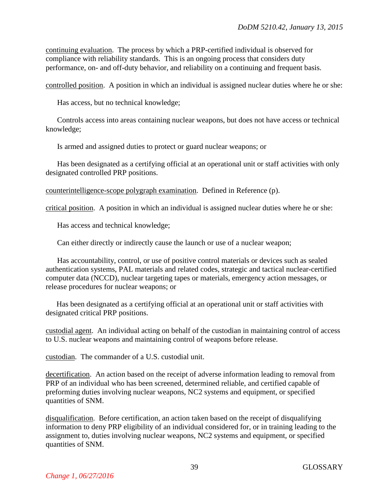continuing evaluation. The process by which a PRP-certified individual is observed for compliance with reliability standards. This is an ongoing process that considers duty performance, on- and off-duty behavior, and reliability on a continuing and frequent basis.

controlled position. A position in which an individual is assigned nuclear duties where he or she:

Has access, but no technical knowledge;

Controls access into areas containing nuclear weapons, but does not have access or technical knowledge;

Is armed and assigned duties to protect or guard nuclear weapons; or

Has been designated as a certifying official at an operational unit or staff activities with only designated controlled PRP positions.

counterintelligence-scope polygraph examination. Defined in Reference (p).

critical position. A position in which an individual is assigned nuclear duties where he or she:

Has access and technical knowledge;

Can either directly or indirectly cause the launch or use of a nuclear weapon;

Has accountability, control, or use of positive control materials or devices such as sealed authentication systems, PAL materials and related codes, strategic and tactical nuclear-certified computer data (NCCD), nuclear targeting tapes or materials, emergency action messages, or release procedures for nuclear weapons; or

Has been designated as a certifying official at an operational unit or staff activities with designated critical PRP positions.

custodial agent. An individual acting on behalf of the custodian in maintaining control of access to U.S. nuclear weapons and maintaining control of weapons before release.

custodian. The commander of a U.S. custodial unit.

decertification. An action based on the receipt of adverse information leading to removal from PRP of an individual who has been screened, determined reliable, and certified capable of preforming duties involving nuclear weapons, NC2 systems and equipment, or specified quantities of SNM.

disqualification. Before certification, an action taken based on the receipt of disqualifying information to deny PRP eligibility of an individual considered for, or in training leading to the assignment to, duties involving nuclear weapons, NC2 systems and equipment, or specified quantities of SNM.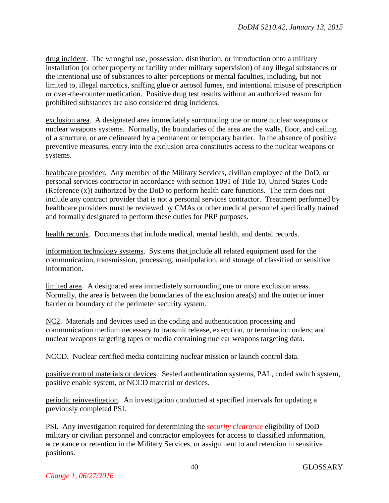drug incident. The wrongful use, possession, distribution, or introduction onto a military installation (or other property or facility under military supervision) of any illegal substances or the intentional use of substances to alter perceptions or mental faculties, including, but not limited to, illegal narcotics, sniffing glue or aerosol fumes, and intentional misuse of prescription or over-the-counter medication. Positive drug test results without an authorized reason for prohibited substances are also considered drug incidents.

exclusion area. A designated area immediately surrounding one or more nuclear weapons or nuclear weapons systems. Normally, the boundaries of the area are the walls, floor, and ceiling of a structure, or are delineated by a permanent or temporary barrier. In the absence of positive preventive measures, entry into the exclusion area constitutes access to the nuclear weapons or systems.

healthcare provider. Any member of the Military Services, civilian employee of the DoD, or personal services contractor in accordance with section 1091 of Title 10, United States Code (Reference (x)) authorized by the DoD to perform health care functions. The term does not include any contract provider that is not a personal services contractor. Treatment performed by healthcare providers must be reviewed by CMAs or other medical personnel specifically trained and formally designated to perform these duties for PRP purposes.

health records. Documents that include medical, mental health, and dental records.

information technology systems. Systems that include all related equipment used for the communication, transmission, processing, manipulation, and storage of classified or sensitive information.

limited area. A designated area immediately surrounding one or more exclusion areas. Normally, the area is between the boundaries of the exclusion area(s) and the outer or inner barrier or boundary of the perimeter security system.

NC2. Materials and devices used in the coding and authentication processing and communication medium necessary to transmit release, execution, or termination orders; and nuclear weapons targeting tapes or media containing nuclear weapons targeting data.

NCCD. Nuclear certified media containing nuclear mission or launch control data.

positive control materials or devices. Sealed authentication systems, PAL, coded switch system, positive enable system, or NCCD material or devices.

periodic reinvestigation. An investigation conducted at specified intervals for updating a previously completed PSI.

PSI. Any investigation required for determining the *security clearance* eligibility of DoD military or civilian personnel and contractor employees for access to classified information, acceptance or retention in the Military Services, or assignment to and retention in sensitive positions.